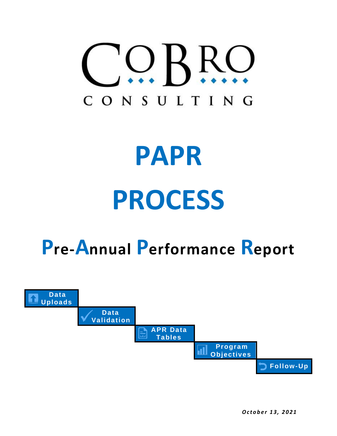

# **PAPR PROCESS**

# **Pre-Annual Performance Report**



*O c t o b e r 13, 2 0 21*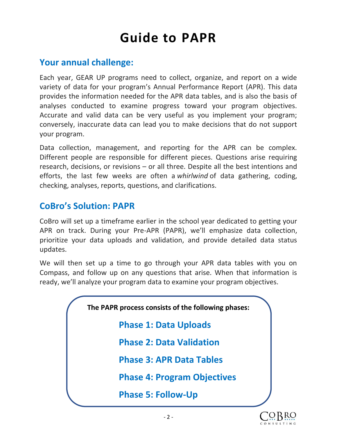# **Guide to PAPR**

### **Your annual challenge:**

Each year, GEAR UP programs need to collect, organize, and report on a wide variety of data for your program's Annual Performance Report (APR). This data provides the information needed for the APR data tables, and is also the basis of analyses conducted to examine progress toward your program objectives. Accurate and valid data can be very useful as you implement your program; conversely, inaccurate data can lead you to make decisions that do not support your program.

Data collection, management, and reporting for the APR can be complex. Different people are responsible for different pieces. Questions arise requiring research, decisions, or revisions – or all three. Despite all the best intentions and efforts, the last few weeks are often a *whirlwind* of data gathering, coding, checking, analyses, reports, questions, and clarifications.

## **CoBro's Solution: PAPR**

CoBro will set up a timeframe earlier in the school year dedicated to getting your APR on track. During your Pre-APR (PAPR), we'll emphasize data collection, prioritize your data uploads and validation, and provide detailed data status updates.

We will then set up a time to go through your APR data tables with you on Compass, and follow up on any questions that arise. When that information is ready, we'll analyze your program data to examine your program objectives.

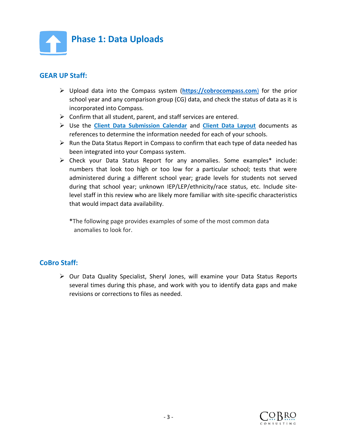

#### **GEAR UP Staff:**

- ➢ Upload data into the Compass system (**[https://cobrocompass.com](https://cobrocompass.com/)**) for the prior school year and any comparison group (CG) data, and check the status of data as it is incorporated into Compass.
- $\triangleright$  Confirm that all student, parent, and staff services are entered.
- ➢ Use the **[Client Data Submission](https://www.cobroconsulting.com/datacalendar) Calendar** and **[Client Data Layout](https://www.cobroconsulting.com/datalayout)** documents as references to determine the information needed for each of your schools.
- $\triangleright$  Run the Data Status Report in Compass to confirm that each type of data needed has been integrated into your Compass system.
- ➢ Check your Data Status Report for any anomalies. Some examples\* include: numbers that look too high or too low for a particular school; tests that were administered during a different school year; grade levels for students not served during that school year; unknown IEP/LEP/ethnicity/race status, etc. Include sitelevel staff in this review who are likely more familiar with site-specific characteristics that would impact data availability.

**\***The following page provides examples of some of the most common data anomalies to look for.

#### **CoBro Staff:**

➢ Our Data Quality Specialist, Sheryl Jones, will examine your Data Status Reports several times during this phase, and work with you to identify data gaps and make revisions or corrections to files as needed.

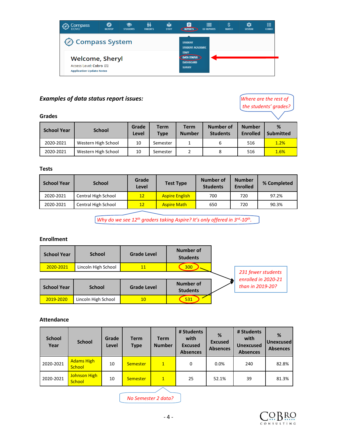

#### **Examples of data status report issues:** *Where are the rest of*

#### **Grades**

| <b>School Year</b> | <b>School</b>       | Grade<br>Level | <b>Term</b><br><b>Type</b> | <b>Term</b><br><b>Number</b> | Number of<br><b>Students</b> | <b>Number</b><br><b>Enrolled</b> | %<br><b>Submitted</b> |
|--------------------|---------------------|----------------|----------------------------|------------------------------|------------------------------|----------------------------------|-----------------------|
| 2020-2021          | Western High School | 10             | Semester                   |                              | 6                            | 516                              | 1.2%                  |
| 2020-2021          | Western High School | 10             | Semester                   |                              | 8                            | 516                              | 1.6%                  |

#### **Tests**

| <b>School Year</b> | <b>School</b>       | Grade<br><b>Test Type</b><br>Level |                       | Number of<br><b>Students</b> | <b>Number</b><br><b>Enrolled</b> | % Completed |
|--------------------|---------------------|------------------------------------|-----------------------|------------------------------|----------------------------------|-------------|
| 2020-2021          | Central High School | 12 <sup>2</sup>                    | <b>Aspire English</b> | 700                          | 720                              | 97.2%       |
| 2020-2021          | Central High School | 12                                 | <b>Aspire Math</b>    | 650                          | 720                              | 90.3%       |

*Why do we see 12<sup>th</sup> graders taking Aspire? It's only offered in 3<sup>rd</sup>-10<sup>th</sup>.* 

#### **Enrollment**

| <b>School Year</b> | <b>School</b>       | <b>Grade Level</b> | Number of<br><b>Students</b> |                                           |
|--------------------|---------------------|--------------------|------------------------------|-------------------------------------------|
| 2020-2021          | Lincoln High School | 11                 | 300                          |                                           |
|                    |                     |                    |                              | 231 fewer students<br>enrolled in 2020-21 |
| <b>School Year</b> | <b>School</b>       | <b>Grade Level</b> | Number of<br><b>Students</b> | than in 2019-20?                          |
| 2019-2020          | Lincoln High School | 10 <sup>°</sup>    | 531                          |                                           |

#### **Attendance**

| <b>School</b><br>Year | <b>School</b>                 | Grade<br>Level | <b>Term</b><br><b>Type</b> | <b>Term</b><br><b>Number</b> | # Students<br>with<br><b>Excused</b><br><b>Absences</b> | %<br><b>Excused</b><br><b>Absences</b> | # Students<br>with<br><b>Unexcused</b><br><b>Absences</b> | %<br><b>Unexcused</b><br><b>Absences</b> |
|-----------------------|-------------------------------|----------------|----------------------------|------------------------------|---------------------------------------------------------|----------------------------------------|-----------------------------------------------------------|------------------------------------------|
| 2020-2021             | <b>Adams High</b><br>School   | 10             | Semester                   | $\mathbf{1}$                 | 0                                                       | 0.0%                                   | 240                                                       | 82.8%                                    |
| 2020-2021             | <b>Johnson High</b><br>School | 10             | Semester                   | $\mathbf{1}$                 | 25                                                      | 52.1%                                  | 39                                                        | 81.3%                                    |

*No Semester 2 data?*



*the students' grades?*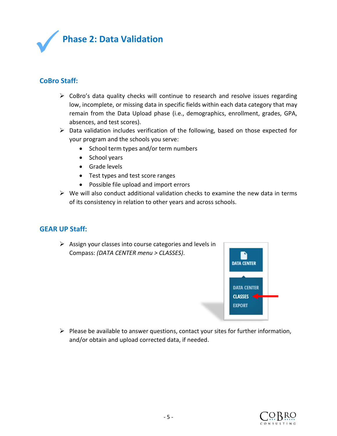

#### **CoBro Staff:**

- $\triangleright$  CoBro's data quality checks will continue to research and resolve issues regarding low, incomplete, or missing data in specific fields within each data category that may remain from the Data Upload phase (i.e., demographics, enrollment, grades, GPA, absences, and test scores).
- $\triangleright$  Data validation includes verification of the following, based on those expected for your program and the schools you serve:
	- School term types and/or term numbers
	- School years
	- Grade levels
	- Test types and test score ranges
	- Possible file upload and import errors
- $\triangleright$  We will also conduct additional validation checks to examine the new data in terms of its consistency in relation to other years and across schools.

#### **GEAR UP Staff:**

 $\triangleright$  Assign your classes into course categories and levels in Compass: *(DATA CENTER menu > CLASSES)*.



➢ Please be available to answer questions, contact your sites for further information, and/or obtain and upload corrected data, if needed.

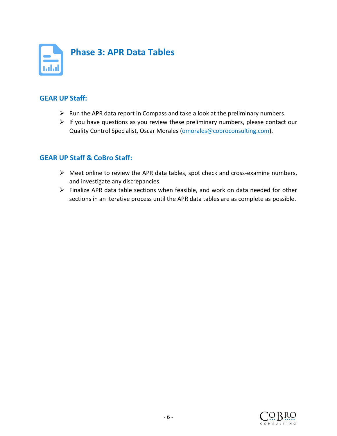

#### **GEAR UP Staff:**

- $\triangleright$  Run the APR data report in Compass and take a look at the preliminary numbers.
- $\triangleright$  If you have questions as you review these preliminary numbers, please contact our Quality Control Specialist, Oscar Morales [\(omorales@cobroconsulting.com\)](mailto:omorales@cobroconsulting.com).

#### **GEAR UP Staff & CoBro Staff:**

- $\triangleright$  Meet online to review the APR data tables, spot check and cross-examine numbers, and investigate any discrepancies.
- ➢ Finalize APR data table sections when feasible, and work on data needed for other sections in an iterative process until the APR data tables are as complete as possible.

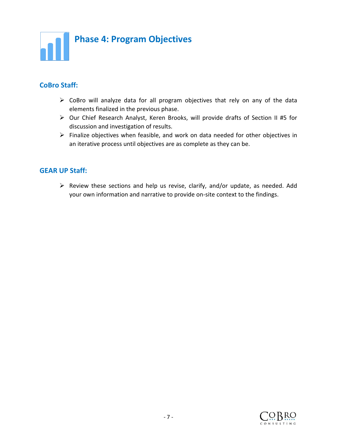

#### **CoBro Staff:**

- $\triangleright$  CoBro will analyze data for all program objectives that rely on any of the data elements finalized in the previous phase.
- ➢ Our Chief Research Analyst, Keren Brooks, will provide drafts of Section II #5 for discussion and investigation of results.
- ➢ Finalize objectives when feasible, and work on data needed for other objectives in an iterative process until objectives are as complete as they can be.

#### **GEAR UP Staff:**

➢ Review these sections and help us revise, clarify, and/or update, as needed. Add your own information and narrative to provide on-site context to the findings.